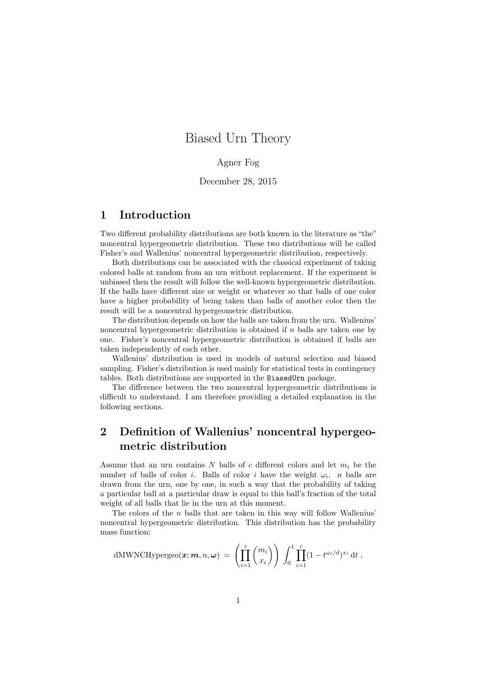# Biased Urn Theory

## Agner Fog

December 28, 2015

## 1 Introduction

Two different probability distributions are both known in the literature as "the" noncentral hypergeometric distribution. These two distributions will be called Fisher's and Wallenius' noncentral hypergeometric distribution, respectively.

Both distributions can be associated with the classical experiment of taking colored balls at random from an urn without replacement. If the experiment is unbiased then the result will follow the well-known hypergeometric distribution. If the balls have different size or weight or whatever so that balls of one color have a higher probability of being taken than balls of another color then the result will be a noncentral hypergeometric distribution.

The distribution depends on how the balls are taken from the urn. Wallenius' noncentral hypergeometric distribution is obtained if  $n$  balls are taken one by one. Fisher's noncentral hypergeometric distribution is obtained if balls are taken independently of each other.

Wallenius' distribution is used in models of natural selection and biased sampling. Fisher's distribution is used mainly for statistical tests in contingency tables. Both distributions are supported in the BiasedUrn package.

The difference between the two noncentral hypergeometric distributions is difficult to understand. I am therefore providing a detailed explanation in the following sections.

# 2 Definition of Wallenius' noncentral hypergeometric distribution

Assume that an urn contains N balls of c different colors and let  $m_i$  be the number of balls of color *i*. Balls of color *i* have the weight  $\omega_i$ . *n* balls are drawn from the urn, one by one, in such a way that the probability of taking a particular ball at a particular draw is equal to this ball's fraction of the total weight of all balls that lie in the urn at this moment.

The colors of the  $n$  balls that are taken in this way will follow Wallenius' noncentral hypergeometric distribution. This distribution has the probability mass function:

dMWNCHypergeo
$$
(\boldsymbol{x}; \boldsymbol{m}, n, \boldsymbol{\omega}) = \left( \prod_{i=1}^{c} {m_i \choose x_i} \right) \int_0^1 \prod_{i=1}^{c} (1 - t^{\omega_i/d})^{x_i} dt
$$
,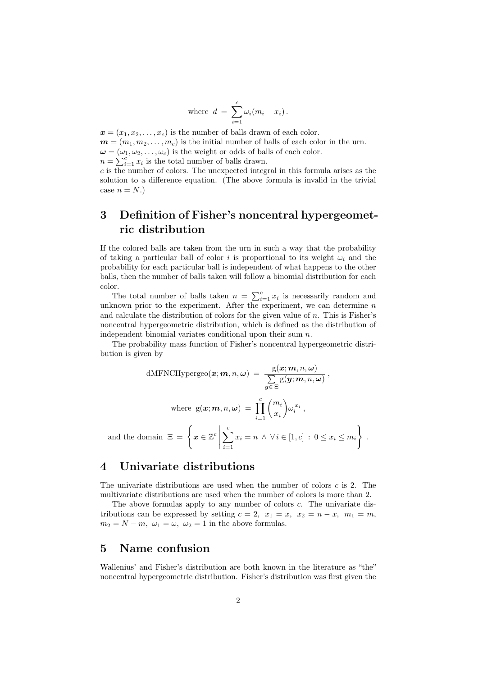where 
$$
d = \sum_{i=1}^{c} \omega_i (m_i - x_i)
$$
.

 $\boldsymbol{x} = (x_1, x_2, \ldots, x_c)$  is the number of balls drawn of each color.  $\mathbf{m} = (m_1, m_2, \dots, m_c)$  is the initial number of balls of each color in the urn.  $\boldsymbol{\omega} = (\omega_1, \omega_2, \dots, \omega_c)$  is the weight or odds of balls of each color.  $n = \sum_{i=1}^{c} x_i$  is the total number of balls drawn.

 $c$  is the number of colors. The unexpected integral in this formula arises as the solution to a difference equation. (The above formula is invalid in the trivial case  $n = N.$ 

# 3 Definition of Fisher's noncentral hypergeometric distribution

If the colored balls are taken from the urn in such a way that the probability of taking a particular ball of color i is proportional to its weight  $\omega_i$  and the probability for each particular ball is independent of what happens to the other balls, then the number of balls taken will follow a binomial distribution for each color.

The total number of balls taken  $n = \sum_{i=1}^{c} x_i$  is necessarily random and unknown prior to the experiment. After the experiment, we can determine  $n$ and calculate the distribution of colors for the given value of  $n$ . This is Fisher's noncentral hypergeometric distribution, which is defined as the distribution of independent binomial variates conditional upon their sum n.

The probability mass function of Fisher's noncentral hypergeometric distribution is given by

dMFNCHypergeo
$$
(\boldsymbol{x}; \boldsymbol{m}, n, \boldsymbol{\omega}) = \frac{g(\boldsymbol{x}; \boldsymbol{m}, n, \boldsymbol{\omega})}{\sum_{\boldsymbol{y} \in \Xi} g(\boldsymbol{y}; \boldsymbol{m}, n, \boldsymbol{\omega})},
$$
  
where  $g(\boldsymbol{x}; \boldsymbol{m}, n, \boldsymbol{\omega}) = \prod_{i=1}^{c} {m_i \choose x_i} \omega_i^{x_i},$   
and the domain  $\Xi = \left\{ \boldsymbol{x} \in \mathbb{Z}^c \, \middle| \, \sum_{i=1}^{c} x_i = n \land \forall i \in [1, c] : 0 \le x_i \le m_i \right\}.$ 

## 4 Univariate distributions

The univariate distributions are used when the number of colors c is 2. The multivariate distributions are used when the number of colors is more than 2.

The above formulas apply to any number of colors c. The univariate distributions can be expressed by setting  $c = 2$ ,  $x_1 = x$ ,  $x_2 = n - x$ ,  $m_1 = m$ ,  $m_2 = N - m$ ,  $\omega_1 = \omega$ ,  $\omega_2 = 1$  in the above formulas.

## 5 Name confusion

Wallenius' and Fisher's distribution are both known in the literature as "the" noncentral hypergeometric distribution. Fisher's distribution was first given the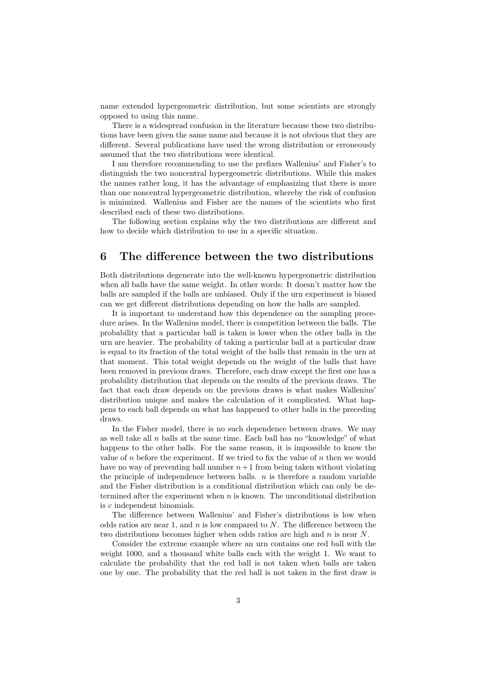name extended hypergeometric distribution, but some scientists are strongly opposed to using this name.

There is a widespread confusion in the literature because these two distributions have been given the same name and because it is not obvious that they are different. Several publications have used the wrong distribution or erroneously assumed that the two distributions were identical.

I am therefore recommending to use the prefixes Wallenius' and Fisher's to distinguish the two noncentral hypergeometric distributions. While this makes the names rather long, it has the advantage of emphasizing that there is more than one noncentral hypergeometric distribution, whereby the risk of confusion is minimized. Wallenius and Fisher are the names of the scientists who first described each of these two distributions.

The following section explains why the two distributions are different and how to decide which distribution to use in a specific situation.

## 6 The difference between the two distributions

Both distributions degenerate into the well-known hypergeometric distribution when all balls have the same weight. In other words: It doesn't matter how the balls are sampled if the balls are unbiased. Only if the urn experiment is biased can we get different distributions depending on how the balls are sampled.

It is important to understand how this dependence on the sampling procedure arises. In the Wallenius model, there is competition between the balls. The probability that a particular ball is taken is lower when the other balls in the urn are heavier. The probability of taking a particular ball at a particular draw is equal to its fraction of the total weight of the balls that remain in the urn at that moment. This total weight depends on the weight of the balls that have been removed in previous draws. Therefore, each draw except the first one has a probability distribution that depends on the results of the previous draws. The fact that each draw depends on the previous draws is what makes Wallenius' distribution unique and makes the calculation of it complicated. What happens to each ball depends on what has happened to other balls in the preceding draws.

In the Fisher model, there is no such dependence between draws. We may as well take all  $n$  balls at the same time. Each ball has no "knowledge" of what happens to the other balls. For the same reason, it is impossible to know the value of n before the experiment. If we tried to fix the value of n then we would have no way of preventing ball number  $n+1$  from being taken without violating the principle of independence between balls.  $n$  is therefore a random variable and the Fisher distribution is a conditional distribution which can only be determined after the experiment when  $n$  is known. The unconditional distribution is c independent binomials.

The difference between Wallenius' and Fisher's distributions is low when odds ratios are near 1, and  $n$  is low compared to N. The difference between the two distributions becomes higher when odds ratios are high and  $n$  is near  $N$ .

Consider the extreme example where an urn contains one red ball with the weight 1000, and a thousand white balls each with the weight 1. We want to calculate the probability that the red ball is not taken when balls are taken one by one. The probability that the red ball is not taken in the first draw is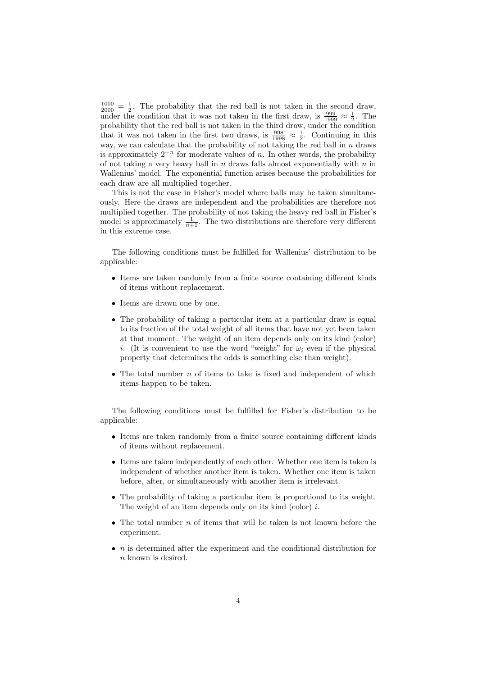$\frac{1000}{2000} = \frac{1}{2}$ . The probability that the red ball is not taken in the second draw, under the condition that it was not taken in the first draw, is  $\frac{999}{1999} \approx \frac{1}{2}$ . The probability that the red ball is not taken in the third draw, under the condition that it was not taken in the first two draws, is  $\frac{998}{1998} \approx \frac{1}{2}$ . Continuing in this way, we can calculate that the probability of not taking the red ball in  $n$  draws is approximately  $2^{-n}$  for moderate values of n. In other words, the probability of not taking a very heavy ball in n draws falls almost exponentially with  $n$  in Wallenius' model. The exponential function arises because the probabilities for each draw are all multiplied together.

This is not the case in Fisher's model where balls may be taken simultaneously. Here the draws are independent and the probabilities are therefore not multiplied together. The probability of not taking the heavy red ball in Fisher's model is approximately  $\frac{1}{n+1}$ . The two distributions are therefore very different in this extreme case.

The following conditions must be fulfilled for Wallenius' distribution to be applicable:

- Items are taken randomly from a finite source containing different kinds of items without replacement.
- Items are drawn one by one.
- The probability of taking a particular item at a particular draw is equal to its fraction of the total weight of all items that have not yet been taken at that moment. The weight of an item depends only on its kind (color) i. (It is convenient to use the word "weight" for  $\omega_i$  even if the physical property that determines the odds is something else than weight).
- $\bullet$  The total number *n* of items to take is fixed and independent of which items happen to be taken.

The following conditions must be fulfilled for Fisher's distribution to be applicable:

- Items are taken randomly from a finite source containing different kinds of items without replacement.
- Items are taken independently of each other. Whether one item is taken is independent of whether another item is taken. Whether one item is taken before, after, or simultaneously with another item is irrelevant.
- The probability of taking a particular item is proportional to its weight. The weight of an item depends only on its kind (color) i.
- $\bullet$  The total number  $n$  of items that will be taken is not known before the experiment.
- $\bullet$  *n* is determined after the experiment and the conditional distribution for n known is desired.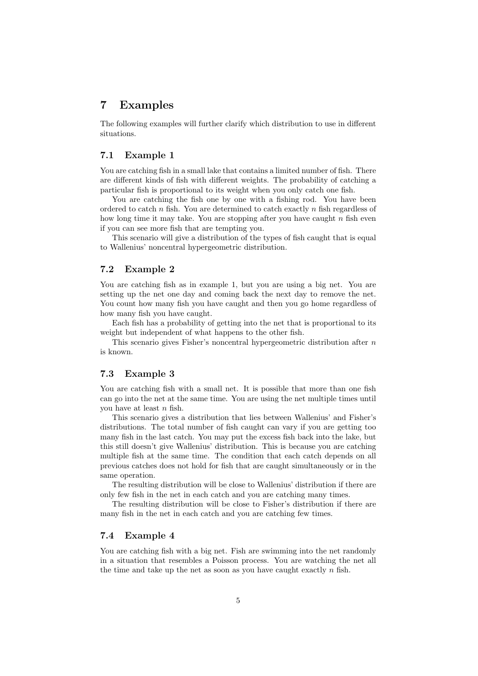# 7 Examples

The following examples will further clarify which distribution to use in different situations.

### 7.1 Example 1

You are catching fish in a small lake that contains a limited number of fish. There are different kinds of fish with different weights. The probability of catching a particular fish is proportional to its weight when you only catch one fish.

You are catching the fish one by one with a fishing rod. You have been ordered to catch  $n$  fish. You are determined to catch exactly  $n$  fish regardless of how long time it may take. You are stopping after you have caught  $n$  fish even if you can see more fish that are tempting you.

This scenario will give a distribution of the types of fish caught that is equal to Wallenius' noncentral hypergeometric distribution.

### 7.2 Example 2

You are catching fish as in example 1, but you are using a big net. You are setting up the net one day and coming back the next day to remove the net. You count how many fish you have caught and then you go home regardless of how many fish you have caught.

Each fish has a probability of getting into the net that is proportional to its weight but independent of what happens to the other fish.

This scenario gives Fisher's noncentral hypergeometric distribution after  $n$ is known.

#### 7.3 Example 3

You are catching fish with a small net. It is possible that more than one fish can go into the net at the same time. You are using the net multiple times until you have at least  $n$  fish.

This scenario gives a distribution that lies between Wallenius' and Fisher's distributions. The total number of fish caught can vary if you are getting too many fish in the last catch. You may put the excess fish back into the lake, but this still doesn't give Wallenius' distribution. This is because you are catching multiple fish at the same time. The condition that each catch depends on all previous catches does not hold for fish that are caught simultaneously or in the same operation.

The resulting distribution will be close to Wallenius' distribution if there are only few fish in the net in each catch and you are catching many times.

The resulting distribution will be close to Fisher's distribution if there are many fish in the net in each catch and you are catching few times.

#### 7.4 Example 4

You are catching fish with a big net. Fish are swimming into the net randomly in a situation that resembles a Poisson process. You are watching the net all the time and take up the net as soon as you have caught exactly  $n$  fish.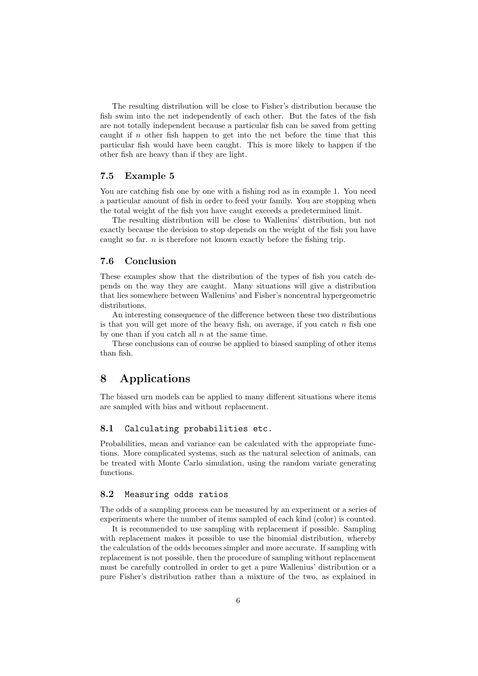The resulting distribution will be close to Fisher's distribution because the fish swim into the net independently of each other. But the fates of the fish are not totally independent because a particular fish can be saved from getting caught if  $n$  other fish happen to get into the net before the time that this particular fish would have been caught. This is more likely to happen if the other fish are heavy than if they are light.

### 7.5 Example 5

You are catching fish one by one with a fishing rod as in example 1. You need a particular amount of fish in order to feed your family. You are stopping when the total weight of the fish you have caught exceeds a predetermined limit.

The resulting distribution will be close to Wallenius' distribution, but not exactly because the decision to stop depends on the weight of the fish you have caught so far.  $n$  is therefore not known exactly before the fishing trip.

## 7.6 Conclusion

These examples show that the distribution of the types of fish you catch depends on the way they are caught. Many situations will give a distribution that lies somewhere between Wallenius' and Fisher's noncentral hypergeometric distributions.

An interesting consequence of the difference between these two distributions is that you will get more of the heavy fish, on average, if you catch  $n$  fish one by one than if you catch all  $n$  at the same time.

These conclusions can of course be applied to biased sampling of other items than fish.

# 8 Applications

The biased urn models can be applied to many different situations where items are sampled with bias and without replacement.

## 8.1 Calculating probabilities etc.

Probabilities, mean and variance can be calculated with the appropriate functions. More complicated systems, such as the natural selection of animals, can be treated with Monte Carlo simulation, using the random variate generating functions.

#### 8.2 Measuring odds ratios

The odds of a sampling process can be measured by an experiment or a series of experiments where the number of items sampled of each kind (color) is counted.

It is recommended to use sampling with replacement if possible. Sampling with replacement makes it possible to use the binomial distribution, whereby the calculation of the odds becomes simpler and more accurate. If sampling with replacement is not possible, then the procedure of sampling without replacement must be carefully controlled in order to get a pure Wallenius' distribution or a pure Fisher's distribution rather than a mixture of the two, as explained in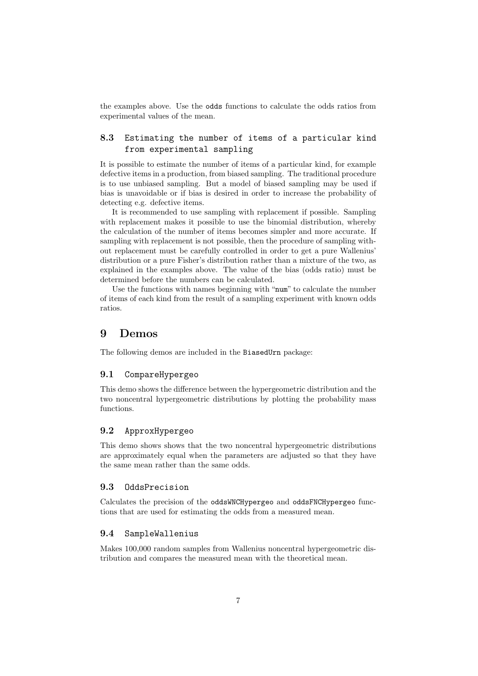the examples above. Use the odds functions to calculate the odds ratios from experimental values of the mean.

## 8.3 Estimating the number of items of a particular kind from experimental sampling

It is possible to estimate the number of items of a particular kind, for example defective items in a production, from biased sampling. The traditional procedure is to use unbiased sampling. But a model of biased sampling may be used if bias is unavoidable or if bias is desired in order to increase the probability of detecting e.g. defective items.

It is recommended to use sampling with replacement if possible. Sampling with replacement makes it possible to use the binomial distribution, whereby the calculation of the number of items becomes simpler and more accurate. If sampling with replacement is not possible, then the procedure of sampling without replacement must be carefully controlled in order to get a pure Wallenius' distribution or a pure Fisher's distribution rather than a mixture of the two, as explained in the examples above. The value of the bias (odds ratio) must be determined before the numbers can be calculated.

Use the functions with names beginning with "num" to calculate the number of items of each kind from the result of a sampling experiment with known odds ratios.

## 9 Demos

The following demos are included in the BiasedUrn package:

#### 9.1 CompareHypergeo

This demo shows the difference between the hypergeometric distribution and the two noncentral hypergeometric distributions by plotting the probability mass functions.

### 9.2 ApproxHypergeo

This demo shows shows that the two noncentral hypergeometric distributions are approximately equal when the parameters are adjusted so that they have the same mean rather than the same odds.

## 9.3 OddsPrecision

Calculates the precision of the oddsWNCHypergeo and oddsFNCHypergeo functions that are used for estimating the odds from a measured mean.

#### 9.4 SampleWallenius

Makes 100,000 random samples from Wallenius noncentral hypergeometric distribution and compares the measured mean with the theoretical mean.